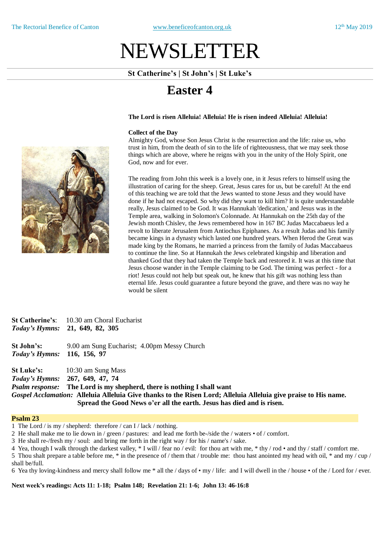# NEWSLETTER

**St Catherine's | St John's | St Luke's**

## **Easter 4**

### **The Lord is risen Alleluia! Alleluia! He is risen indeed Alleluia! Alleluia!**

### **Collect of the Day**

Almighty God, whose Son Jesus Christ is the resurrection and the life: raise us, who trust in him, from the death of sin to the life of righteousness, that we may seek those things which are above, where he reigns with you in the unity of the Holy Spirit, one God, now and for ever.

The reading from John this week is a lovely one, in it Jesus refers to himself using the illustration of caring for the sheep. Great, Jesus cares for us, but be careful! At the end of this teaching we are told that the Jews wanted to stone Jesus and they would have done if he had not escaped. So why did they want to kill him? It is quite understandable really, Jesus claimed to be God. It was Hannukah 'dedication,' and Jesus was in the Temple area, walking in Solomon's Colonnade. At Hannukah on the 25th day of the Jewish month Chislev, the Jews remembered how in 167 BC Judas Maccabaeus led a revolt to liberate Jerusalem from Antiochus Epiphanes. As a result Judas and his family became kings in a dynasty which lasted one hundred years. When Herod the Great was made king by the Romans, he married a princess from the family of Judas Maccabaeus to continue the line. So at Hannukah the Jews celebrated kingship and liberation and thanked God that they had taken the Temple back and restored it. It was at this time that Jesus choose wander in the Temple claiming to be God. The timing was perfect - for a riot! Jesus could not help but speak out, he knew that his gift was nothing less than eternal life. Jesus could guarantee a future beyond the grave, and there was no way he would be silent

|                             | <b>St Catherine's:</b> 10.30 am Choral Eucharist<br>Today's Hymns: 21, 649, 82, 305                             |
|-----------------------------|-----------------------------------------------------------------------------------------------------------------|
| St John's:                  | 9.00 am Sung Eucharist; 4.00pm Messy Church                                                                     |
| Today's Hymns: 116, 156, 97 |                                                                                                                 |
|                             | <b>St Luke's:</b> 10:30 am Sung Mass                                                                            |
|                             | Today's Hymns: 267, 649, 47, 74                                                                                 |
|                             | <i>Psalm response:</i> The Lord is my shepherd, there is nothing I shall want                                   |
|                             | Gospel Acclamation: Alleluia Alleluia Give thanks to the Risen Lord; Alleluia Alleluia give praise to His name. |

**Spread the Good News o'er all the earth. Jesus has died and is risen.**

### **Psalm 23**

1 The Lord / is my / shepherd: therefore / can I / lack / nothing.

2 He shall make me to lie down in / green / pastures: and lead me forth be-/side the / waters • of / comfort.

3 He shall re-/fresh my / soul: and bring me forth in the right way / for his / name's / sake.

4 Yea, though I walk through the darkest valley, \* I will / fear no / evil: for thou art with me, \* thy / rod • and thy / staff / comfort me.

5 Thou shalt prepare a table before me, \* in the presence of / them that / trouble me: thou hast anointed my head with oil, \* and my / cup / shall be/full.

6 Yea thy loving-kindness and mercy shall follow me \* all the / days of • my / life: and I will dwell in the / house • of the / Lord for / ever.

**Next week's readings: Acts 11: 1-18; Psalm 148; Revelation 21: 1-6; John 13: 46-16:8**